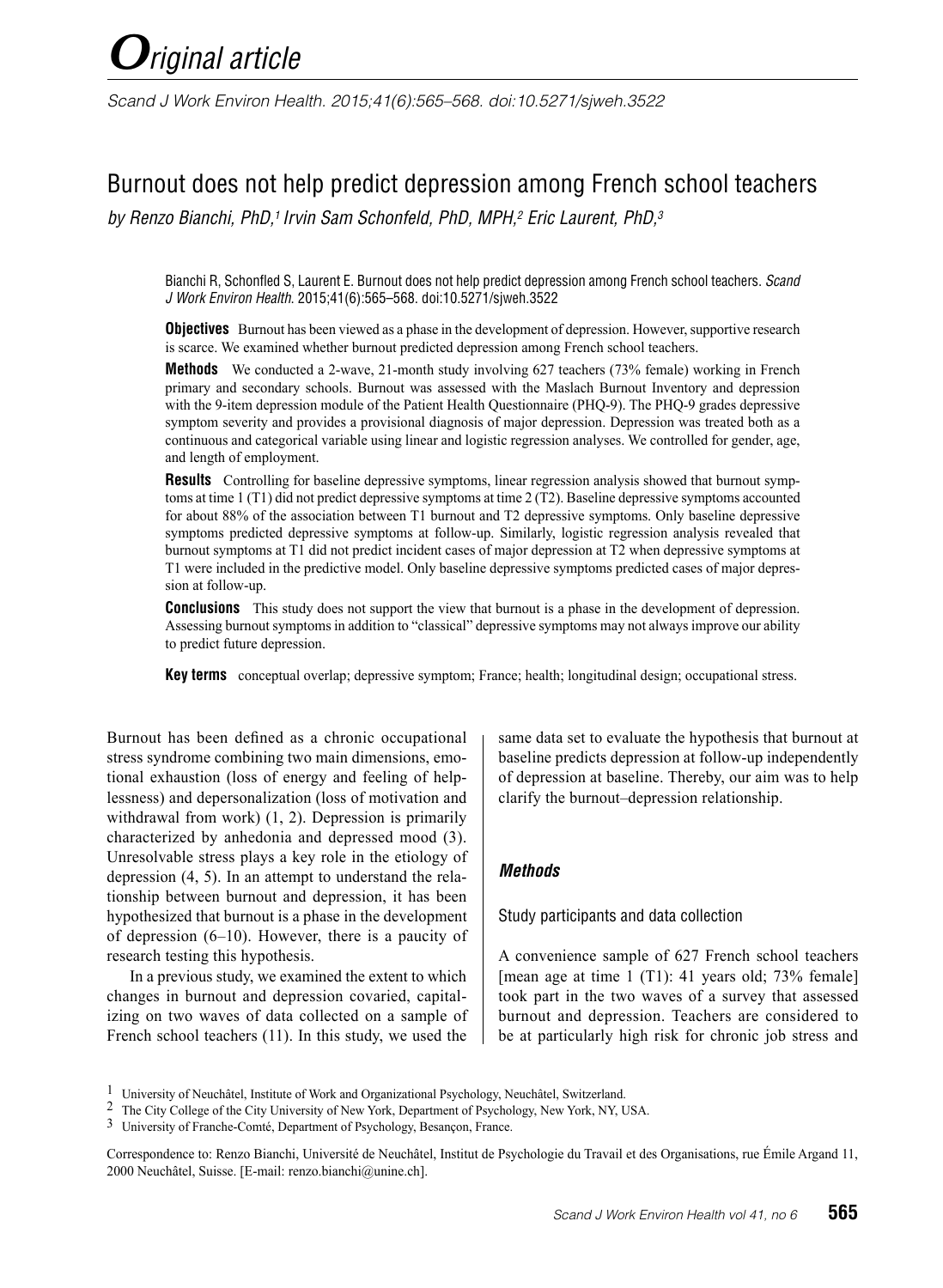*Scand J Work Environ Health. 2015;41(6):565–568. doi:10.5271/sjweh.3522*

# Burnout does not help predict depression among French school teachers

*by Renzo Bianchi, PhD,1 Irvin Sam Schonfeld, PhD, MPH,2 Eric Laurent, PhD,3*

Bianchi R, Schonfled S, Laurent E. Burnout does not help predict depression among French school teachers. *Scand J Work Environ Health*. 2015;41(6):565–568. doi:10.5271/sjweh.3522

**Objectives** Burnout has been viewed as a phase in the development of depression. However, supportive research is scarce. We examined whether burnout predicted depression among French school teachers.

**Methods** We conducted a 2-wave, 21-month study involving 627 teachers (73% female) working in French primary and secondary schools. Burnout was assessed with the Maslach Burnout Inventory and depression with the 9-item depression module of the Patient Health Questionnaire (PHQ-9). The PHQ-9 grades depressive symptom severity and provides a provisional diagnosis of major depression. Depression was treated both as a continuous and categorical variable using linear and logistic regression analyses. We controlled for gender, age, and length of employment.

**Results** Controlling for baseline depressive symptoms, linear regression analysis showed that burnout symptoms at time 1 (T1) did not predict depressive symptoms at time 2 (T2). Baseline depressive symptoms accounted for about 88% of the association between T1 burnout and T2 depressive symptoms. Only baseline depressive symptoms predicted depressive symptoms at follow-up. Similarly, logistic regression analysis revealed that burnout symptoms at T1 did not predict incident cases of major depression at T2 when depressive symptoms at T1 were included in the predictive model. Only baseline depressive symptoms predicted cases of major depression at follow-up.

**Conclusions** This study does not support the view that burnout is a phase in the development of depression. Assessing burnout symptoms in addition to "classical" depressive symptoms may not always improve our ability to predict future depression.

**Key terms** conceptual overlap; depressive symptom; France; health; longitudinal design; occupational stress.

Burnout has been defined as a chronic occupational stress syndrome combining two main dimensions, emotional exhaustion (loss of energy and feeling of helplessness) and depersonalization (loss of motivation and withdrawal from work) (1, 2). Depression is primarily characterized by anhedonia and depressed mood (3). Unresolvable stress plays a key role in the etiology of depression (4, 5). In an attempt to understand the relationship between burnout and depression, it has been hypothesized that burnout is a phase in the development of depression (6–10). However, there is a paucity of research testing this hypothesis.

In a previous study, we examined the extent to which changes in burnout and depression covaried, capitalizing on two waves of data collected on a sample of French school teachers (11). In this study, we used the

same data set to evaluate the hypothesis that burnout at baseline predicts depression at follow-up independently of depression at baseline. Thereby, our aim was to help clarify the burnout–depression relationship.

### *Methods*

Study participants and data collection

A convenience sample of 627 French school teachers [mean age at time 1 (T1): 41 years old; 73% female] took part in the two waves of a survey that assessed burnout and depression. Teachers are considered to be at particularly high risk for chronic job stress and

<sup>1</sup> University of Neuchâtel, Institute of Work and Organizational Psychology, Neuchâtel, Switzerland.

<sup>2</sup> The City College of the City University of New York, Department of Psychology, New York, NY, USA.

<sup>3</sup> University of Franche-Comté, Department of Psychology, Besançon, France.

Correspondence to: Renzo Bianchi, Université de Neuchâtel, Institut de Psychologie du Travail et des Organisations, rue Émile Argand 11, 2000 Neuchâtel, Suisse. [E-mail: renzo.bianchi@unine.ch].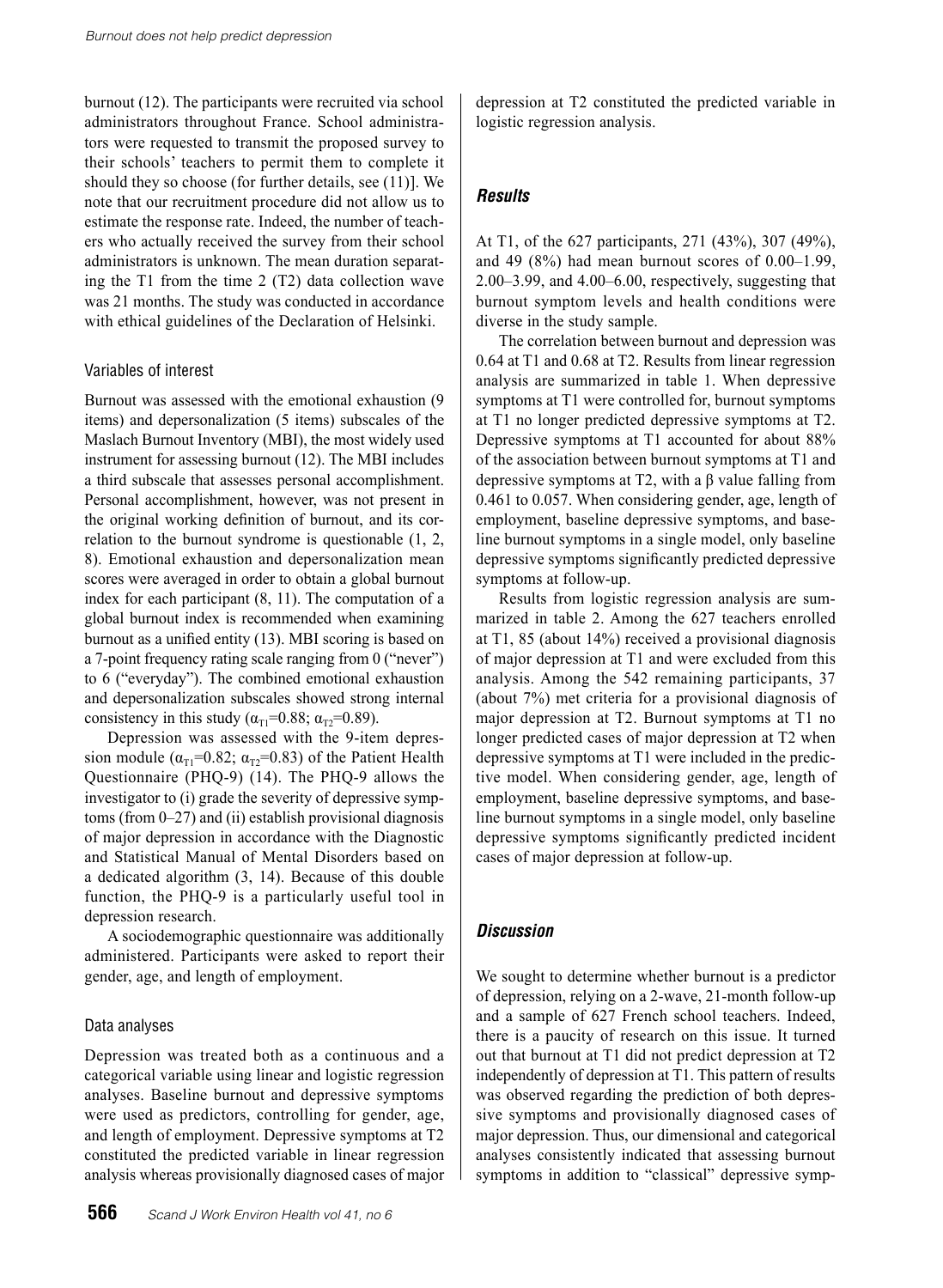burnout (12). The participants were recruited via school administrators throughout France. School administrators were requested to transmit the proposed survey to their schools' teachers to permit them to complete it should they so choose (for further details, see (11)]. We note that our recruitment procedure did not allow us to estimate the response rate. Indeed, the number of teachers who actually received the survey from their school administrators is unknown. The mean duration separating the T1 from the time 2 (T2) data collection wave was 21 months. The study was conducted in accordance with ethical guidelines of the Declaration of Helsinki.

#### Variables of interest

Burnout was assessed with the emotional exhaustion (9 items) and depersonalization (5 items) subscales of the Maslach Burnout Inventory (MBI), the most widely used instrument for assessing burnout (12). The MBI includes a third subscale that assesses personal accomplishment. Personal accomplishment, however, was not present in the original working definition of burnout, and its correlation to the burnout syndrome is questionable (1, 2, 8). Emotional exhaustion and depersonalization mean scores were averaged in order to obtain a global burnout index for each participant (8, 11). The computation of a global burnout index is recommended when examining burnout as a unified entity (13). MBI scoring is based on a 7-point frequency rating scale ranging from 0 ("never") to 6 ("everyday"). The combined emotional exhaustion and depersonalization subscales showed strong internal consistency in this study ( $\alpha_{T1}$ =0.88;  $\alpha_{T2}$ =0.89).

Depression was assessed with the 9-item depression module ( $\alpha_{T1}$ =0.82;  $\alpha_{T2}$ =0.83) of the Patient Health Questionnaire (PHQ-9) (14). The PHQ-9 allows the investigator to (i) grade the severity of depressive symptoms (from 0–27) and (ii) establish provisional diagnosis of major depression in accordance with the Diagnostic and Statistical Manual of Mental Disorders based on a dedicated algorithm (3, 14). Because of this double function, the PHQ-9 is a particularly useful tool in depression research.

A sociodemographic questionnaire was additionally administered. Participants were asked to report their gender, age, and length of employment.

### Data analyses

Depression was treated both as a continuous and a categorical variable using linear and logistic regression analyses. Baseline burnout and depressive symptoms were used as predictors, controlling for gender, age, and length of employment. Depressive symptoms at T2 constituted the predicted variable in linear regression analysis whereas provisionally diagnosed cases of major

depression at T2 constituted the predicted variable in logistic regression analysis.

## *Results*

At T1, of the 627 participants, 271 (43%), 307 (49%), and 49  $(8\%)$  had mean burnout scores of  $0.00-1.99$ , 2.00–3.99, and 4.00–6.00, respectively, suggesting that burnout symptom levels and health conditions were diverse in the study sample.

The correlation between burnout and depression was 0.64 at T1 and 0.68 at T2. Results from linear regression analysis are summarized in table 1. When depressive symptoms at T1 were controlled for, burnout symptoms at T1 no longer predicted depressive symptoms at T2. Depressive symptoms at T1 accounted for about 88% of the association between burnout symptoms at T1 and depressive symptoms at T2, with a β value falling from 0.461 to 0.057. When considering gender, age, length of employment, baseline depressive symptoms, and baseline burnout symptoms in a single model, only baseline depressive symptoms significantly predicted depressive symptoms at follow-up.

Results from logistic regression analysis are summarized in table 2. Among the 627 teachers enrolled at T1, 85 (about 14%) received a provisional diagnosis of major depression at T1 and were excluded from this analysis. Among the 542 remaining participants, 37 (about 7%) met criteria for a provisional diagnosis of major depression at T2. Burnout symptoms at T1 no longer predicted cases of major depression at T2 when depressive symptoms at T1 were included in the predictive model. When considering gender, age, length of employment, baseline depressive symptoms, and baseline burnout symptoms in a single model, only baseline depressive symptoms significantly predicted incident cases of major depression at follow-up.

## *Discussion*

We sought to determine whether burnout is a predictor of depression, relying on a 2-wave, 21-month follow-up and a sample of 627 French school teachers. Indeed, there is a paucity of research on this issue. It turned out that burnout at T1 did not predict depression at T2 independently of depression at T1. This pattern of results was observed regarding the prediction of both depressive symptoms and provisionally diagnosed cases of major depression. Thus, our dimensional and categorical analyses consistently indicated that assessing burnout symptoms in addition to "classical" depressive symp-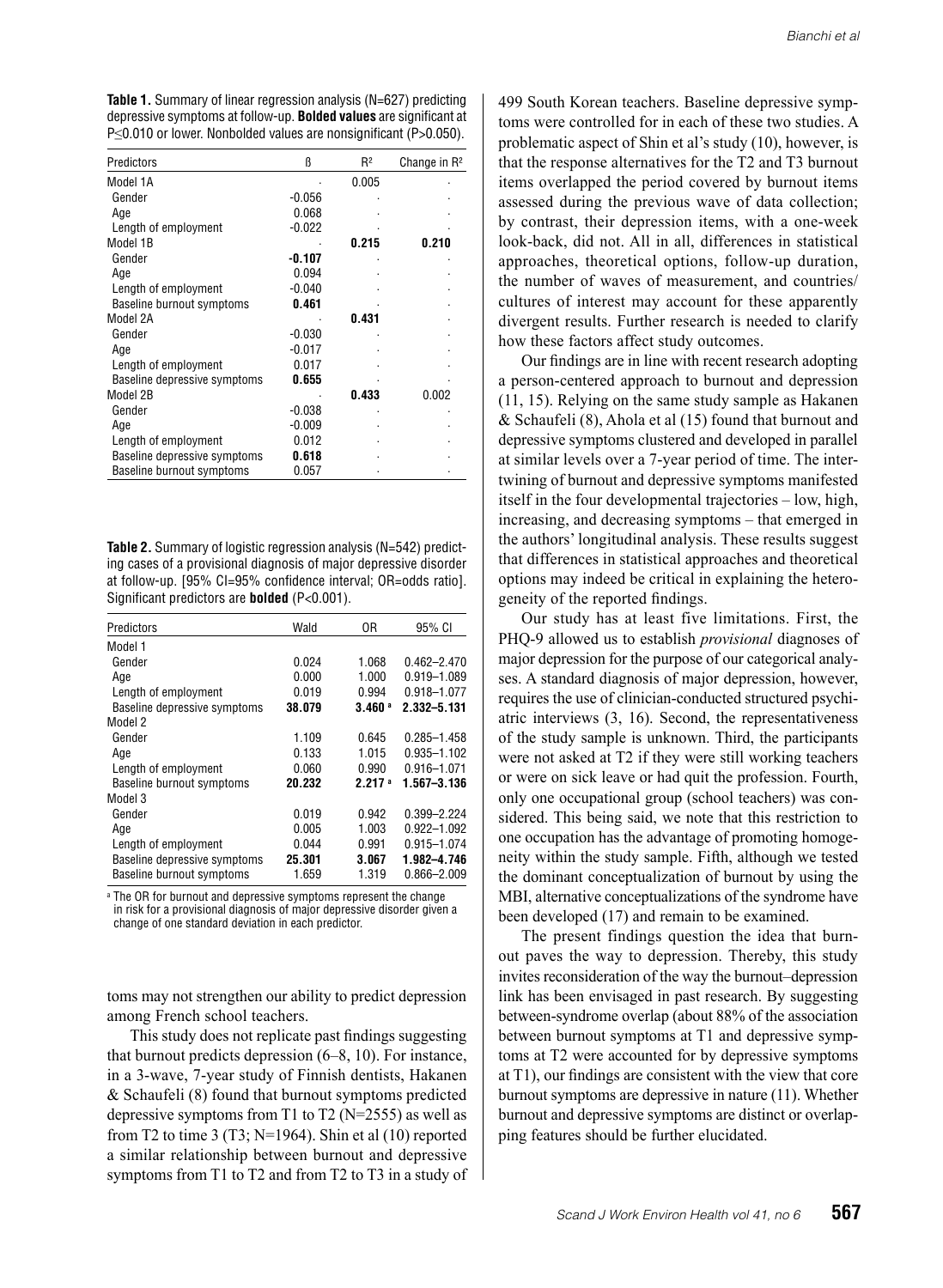**Table 1.** Summary of linear regression analysis (N=627) predicting depressive symptoms at follow-up. **Bolded values** are significant at P≤0.010 or lower. Nonbolded values are nonsignificant (P>0.050).

| Predictors                   | ß        | $R^2$ | Change in $R^2$ |
|------------------------------|----------|-------|-----------------|
| Model 1A                     |          | 0.005 |                 |
| Gender                       | $-0.056$ |       |                 |
| Age                          | 0.068    |       |                 |
| Length of employment         | $-0.022$ |       |                 |
| Model 1B                     |          | 0.215 | 0.210           |
| Gender                       | -0.107   |       |                 |
| Age                          | 0.094    |       |                 |
| Length of employment         | $-0.040$ |       |                 |
| Baseline burnout symptoms    | 0.461    |       |                 |
| Model 2A                     |          | 0.431 |                 |
| Gender                       | $-0.030$ |       |                 |
| Age                          | $-0.017$ |       |                 |
| Length of employment         | 0.017    |       |                 |
| Baseline depressive symptoms | 0.655    |       |                 |
| Model 2B                     |          | 0.433 | 0.002           |
| Gender                       | $-0.038$ |       |                 |
| Age                          | $-0.009$ |       |                 |
| Length of employment         | 0.012    |       |                 |
| Baseline depressive symptoms | 0.618    |       |                 |
| Baseline burnout symptoms    | 0.057    |       |                 |

**Table 2.** Summary of logistic regression analysis (N=542) predicting cases of a provisional diagnosis of major depressive disorder at follow-up. [95% CI=95% confidence interval; OR=odds ratio]. Significant predictors are **bolded** (P<0.001).

| Predictors                   | Wald   | 0R                   | 95% CI          |
|------------------------------|--------|----------------------|-----------------|
| Model 1                      |        |                      |                 |
| Gender                       | 0.024  | 1.068                | $0.462 - 2.470$ |
| Age                          | 0.000  | 1.000                | 0.919-1.089     |
| Length of employment         | 0.019  | 0.994                | 0.918-1.077     |
| Baseline depressive symptoms | 38.079 | $3.460$ <sup>a</sup> | 2.332-5.131     |
| Model 2                      |        |                      |                 |
| Gender                       | 1.109  | 0.645                | 0.285-1.458     |
| Age                          | 0.133  | 1.015                | 0.935-1.102     |
| Length of employment         | 0.060  | 0.990                | $0.916 - 1.071$ |
| Baseline burnout symptoms    | 20.232 | 2.217 <sup>a</sup>   | 1.567-3.136     |
| Model 3                      |        |                      |                 |
| Gender                       | 0.019  | 0.942                | 0.399-2.224     |
| Age                          | 0.005  | 1.003                | 0.922-1.092     |
| Length of employment         | 0.044  | 0.991                | 0.915-1.074     |
| Baseline depressive symptoms | 25.301 | 3.067                | 1.982-4.746     |
| Baseline burnout symptoms    | 1.659  | 1.319                | 0.866-2.009     |

a The OR for burnout and depressive symptoms represent the change in risk for a provisional diagnosis of major depressive disorder given a change of one standard deviation in each predictor.

toms may not strengthen our ability to predict depression among French school teachers.

This study does not replicate past findings suggesting that burnout predicts depression (6–8, 10). For instance, in a 3-wave, 7-year study of Finnish dentists, Hakanen & Schaufeli (8) found that burnout symptoms predicted depressive symptoms from T1 to T2 ( $N=2555$ ) as well as from T2 to time 3 (T3;  $N=1964$ ). Shin et al (10) reported a similar relationship between burnout and depressive symptoms from T1 to T2 and from T2 to T3 in a study of 499 South Korean teachers. Baseline depressive symptoms were controlled for in each of these two studies. A problematic aspect of Shin et al's study (10), however, is that the response alternatives for the T2 and T3 burnout items overlapped the period covered by burnout items assessed during the previous wave of data collection; by contrast, their depression items, with a one-week look-back, did not. All in all, differences in statistical approaches, theoretical options, follow-up duration, the number of waves of measurement, and countries/ cultures of interest may account for these apparently divergent results. Further research is needed to clarify how these factors affect study outcomes.

Our findings are in line with recent research adopting a person-centered approach to burnout and depression (11, 15). Relying on the same study sample as Hakanen & Schaufeli (8), Ahola et al (15) found that burnout and depressive symptoms clustered and developed in parallel at similar levels over a 7-year period of time. The intertwining of burnout and depressive symptoms manifested itself in the four developmental trajectories – low, high, increasing, and decreasing symptoms – that emerged in the authors' longitudinal analysis. These results suggest that differences in statistical approaches and theoretical options may indeed be critical in explaining the heterogeneity of the reported findings.

Our study has at least five limitations. First, the PHQ-9 allowed us to establish *provisional* diagnoses of major depression for the purpose of our categorical analyses. A standard diagnosis of major depression, however, requires the use of clinician-conducted structured psychiatric interviews (3, 16). Second, the representativeness of the study sample is unknown. Third, the participants were not asked at T2 if they were still working teachers or were on sick leave or had quit the profession. Fourth, only one occupational group (school teachers) was considered. This being said, we note that this restriction to one occupation has the advantage of promoting homogeneity within the study sample. Fifth, although we tested the dominant conceptualization of burnout by using the MBI, alternative conceptualizations of the syndrome have been developed (17) and remain to be examined.

The present findings question the idea that burnout paves the way to depression. Thereby, this study invites reconsideration of the way the burnout–depression link has been envisaged in past research. By suggesting between-syndrome overlap (about 88% of the association between burnout symptoms at T1 and depressive symptoms at T2 were accounted for by depressive symptoms at T1), our findings are consistent with the view that core burnout symptoms are depressive in nature (11). Whether burnout and depressive symptoms are distinct or overlapping features should be further elucidated.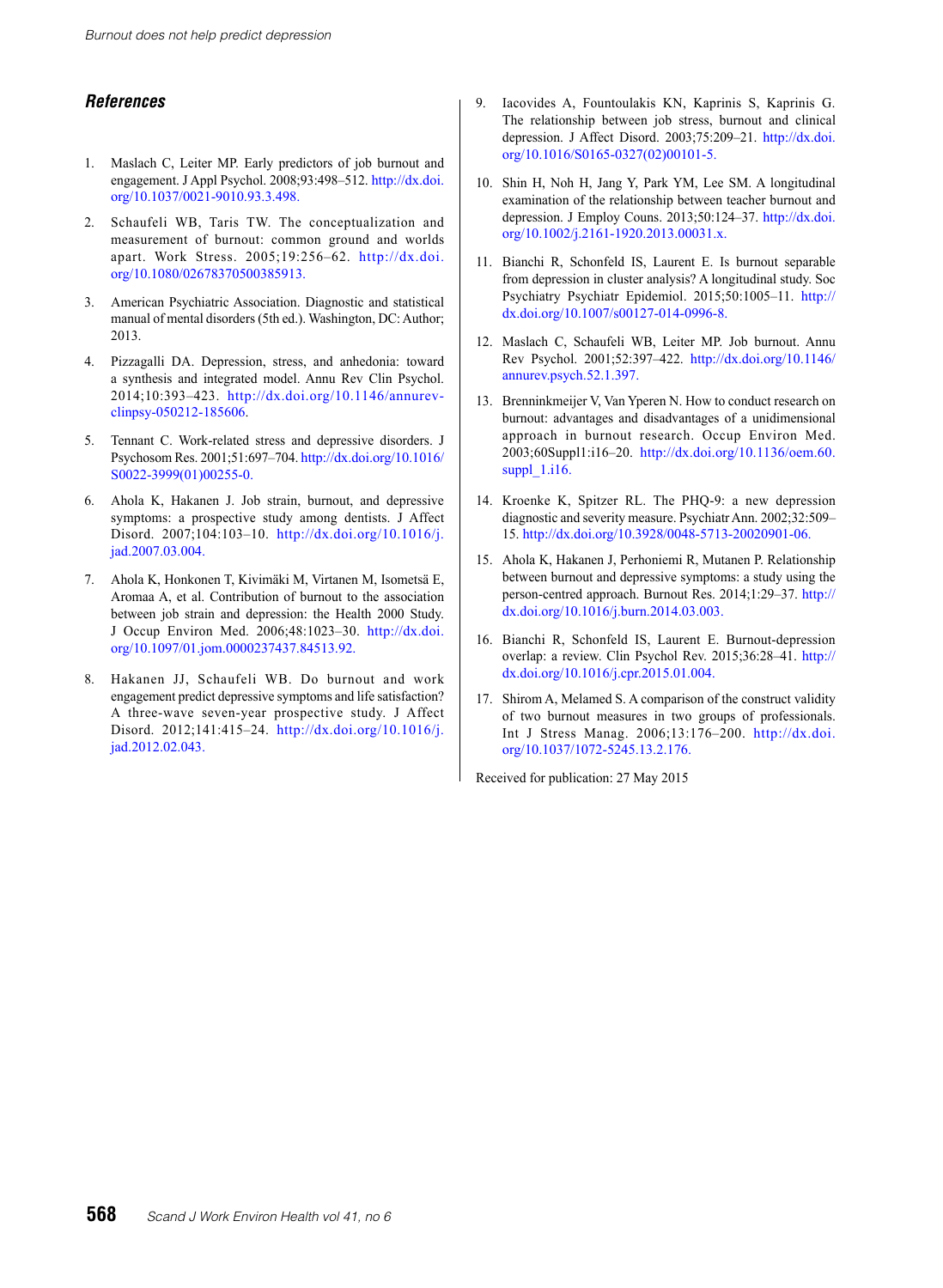### *References*

- 1. Maslach C, Leiter MP. Early predictors of job burnout and engagement. J Appl Psychol. 2008;93:498–512. [http://dx.doi.](Burnout does not help predict depression) [org/10.1037/0021-9010.93.3.498.](Burnout does not help predict depression)
- 2. Schaufeli WB, Taris TW. The conceptualization and measurement of burnout: common ground and worlds apart. Work Stress. 2005;19:256–62. [http://dx.doi.](Burnout does not help predict depression) [org/10.1080/02678370500385913.](Burnout does not help predict depression)
- 3. American Psychiatric Association. Diagnostic and statistical manual of mental disorders (5th ed.). Washington, DC: Author; 2013.
- 4. Pizzagalli DA. Depression, stress, and anhedonia: toward a synthesis and integrated model. Annu Rev Clin Psychol. 2014;10:393–423. [http://dx.doi.org/10.1146/annurev](Burnout does not help predict depression)[clinpsy-050212-185606](Burnout does not help predict depression).
- 5. Tennant C. Work-related stress and depressive disorders. J Psychosom Res. 2001;51:697–704. [http://dx.doi.org/10.1016/](http://dx.doi.org/10.1016/S0022-3999(01)00255-0.) [S0022-3999\(01\)00255-0.](http://dx.doi.org/10.1016/S0022-3999(01)00255-0.)
- 6. Ahola K, Hakanen J. Job strain, burnout, and depressive symptoms: a prospective study among dentists. J Affect Disord. 2007;104:103–10. [http://dx.doi.org/10.1016/j.](http://dx.doi.org/10.1016/j.jad.2007.03.004.
) [jad.2007.03.004.](http://dx.doi.org/10.1016/j.jad.2007.03.004.
)
- 7. Ahola K, Honkonen T, Kivimäki M, Virtanen M, Isometsä E, Aromaa A, et al. Contribution of burnout to the association between job strain and depression: the Health 2000 Study. J Occup Environ Med. 2006;48:1023–30. [http://dx.doi.](http://dx.doi.org/10.1097/01.jom.0000237437.84513.92.
) [org/10.1097/01.jom.0000237437.84513.92.](http://dx.doi.org/10.1097/01.jom.0000237437.84513.92.
)
- 8. Hakanen JJ, Schaufeli WB. Do burnout and work engagement predict depressive symptoms and life satisfaction? A three-wave seven-year prospective study. J Affect Disord. 2012;141:415–24. [http://dx.doi.org/10.1016/j.](http://dx.doi.org/10.1097/01.jom.0000237437.84513.92.
) [jad.2012.02.043.](http://dx.doi.org/10.1097/01.jom.0000237437.84513.92.
)
- 9. Iacovides A, Fountoulakis KN, Kaprinis S, Kaprinis G. The relationship between job stress, burnout and clinical depression. J Affect Disord. 2003;75:209–21. [http://dx.doi.](http://dx.doi.org/10.1016/S0165-0327(02)00101-5.) [org/10.1016/S0165-0327\(02\)00101-5.](http://dx.doi.org/10.1016/S0165-0327(02)00101-5.)
- 10. Shin H, Noh H, Jang Y, Park YM, Lee SM. A longitudinal examination of the relationship between teacher burnout and depression. J Employ Couns. 2013;50:124–37. [http://dx.doi.](http://dx.doi.org/10.1002/j.2161-1920.2013.00031.x.) [org/10.1002/j.2161-1920.2013.00031.x.](http://dx.doi.org/10.1002/j.2161-1920.2013.00031.x.)
- 11. Bianchi R, Schonfeld IS, Laurent E. Is burnout separable from depression in cluster analysis? A longitudinal study. Soc Psychiatry Psychiatr Epidemiol. 2015;50:1005–11. [http://](http://dx.doi.org/10.1007/s00127-014-0996-8.
) [dx.doi.org/10.1007/s00127-014-0996-8.](http://dx.doi.org/10.1007/s00127-014-0996-8.
)
- 12. Maslach C, Schaufeli WB, Leiter MP. Job burnout. Annu Rev Psychol. 2001;52:397–422. [http://dx.doi.org/10.1146/](http://dx.doi.org/10.1146/annurev.psych.52.1.397.) [annurev.psych.52.1.397.](http://dx.doi.org/10.1146/annurev.psych.52.1.397.)
- 13. Brenninkmeijer V, Van Yperen N. How to conduct research on burnout: advantages and disadvantages of a unidimensional approach in burnout research. Occup Environ Med. 2003;60Suppl1:i16–20. [http://dx.doi.org/10.1136/oem.60.](http://dx.doi.org/10.1136/oem.60.suppl_1.i16.) suppl 1.i16.
- 14. Kroenke K, Spitzer RL. The PHQ-9: a new depression diagnostic and severity measure. Psychiatr Ann. 2002;32:509– 15. [http://dx.doi.org/10.3928/0048-5713-20020901-06.](http://dx.doi.org/10.3928/0048-5713-20020901-06.
)
- 15. Ahola K, Hakanen J, Perhoniemi R, Mutanen P. Relationship between burnout and depressive symptoms: a study using the person-centred approach. Burnout Res. 2014;1:29–37. [http://](http://dx.doi.org/10.1016/j.burn.2014.03.003.
) [dx.doi.org/10.1016/j.burn.2014.03.003.](http://dx.doi.org/10.1016/j.burn.2014.03.003.
)
- 16. Bianchi R, Schonfeld IS, Laurent E. Burnout-depression overlap: a review. Clin Psychol Rev. 2015;36:28–41. [http://](http://dx.doi.org/10.1016/j.cpr.2015.01.004.) [dx.doi.org/10.1016/j.cpr.2015.01.004.](http://dx.doi.org/10.1016/j.cpr.2015.01.004.)
- 17. Shirom A, Melamed S. A comparison of the construct validity of two burnout measures in two groups of professionals. Int J Stress Manag. 2006;13:176–200. [http://dx.doi.](http://dx.doi.org/10.1016/j.cpr.2015.01.004.) [org/10.1037/1072-5245.13.2.176.](http://dx.doi.org/10.1016/j.cpr.2015.01.004.)

Received for publication: 27 May 2015